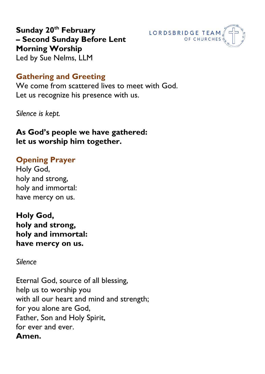

**Sunday 20th February – Second Sunday Before Lent Morning Worship**  Led by Sue Nelms, LLM

## **Gathering and Greeting**

We come from scattered lives to meet with God. Let us recognize his presence with us.

*Silence is kept.*

## **As God's people we have gathered: let us worship him together.**

### **Opening Prayer**

Holy God, holy and strong, holy and immortal: have mercy on us.

**Holy God, holy and strong, holy and immortal: have mercy on us.**

*Silence*

Eternal God, source of all blessing, help us to worship you with all our heart and mind and strength; for you alone are God, Father, Son and Holy Spirit, for ever and ever. **Amen.**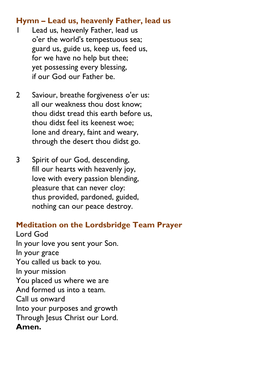## **Hymn – Lead us, heavenly Father, lead us**

- Lead us, heavenly Father, lead us o'er the world's tempestuous sea; guard us, guide us, keep us, feed us, for we have no help but thee; yet possessing every blessing, if our God our Father be.
- 2 Saviour, breathe forgiveness o'er us: all our weakness thou dost know; thou didst tread this earth before us, thou didst feel its keenest woe; lone and dreary, faint and weary, through the desert thou didst go.
- 3 Spirit of our God, descending, fill our hearts with heavenly joy, love with every passion blending, pleasure that can never cloy: thus provided, pardoned, guided, nothing can our peace destroy.

# **Meditation on the Lordsbridge Team Prayer**

Lord God In your love you sent your Son. In your grace You called us back to you. In your mission You placed us where we are And formed us into a team. Call us onward Into your purposes and growth Through Jesus Christ our Lord. **Amen.**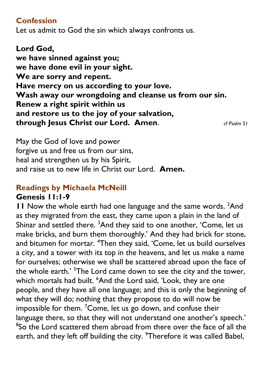### **Confession**

Let us admit to God the sin which always confronts us.

**Lord God, we have sinned against you; we have done evil in your sight. We are sorry and repent. Have mercy on us according to your love. Wash away our wrongdoing and cleanse us from our sin. Renew a right spirit within us and restore us to the joy of your salvation, through Jesus Christ our Lord. Amen.** Controlled a General American Controller Controller Controller Controller

May the God of love and power forgive us and free us from our sins, heal and strengthen us by his Spirit, and raise us to new life in Christ our Lord. **Amen.**

### **Readings by Michaela McNeill Genesis 11:1-9**

**11** Now the whole earth had one language and the same words. <sup>2</sup>And as they migrated from the east, they came upon a plain in the land of Shinar and settled there. <sup>3</sup>And they said to one another, 'Come, let us make bricks, and burn them thoroughly.' And they had brick for stone, and bitumen for mortar. <sup>4</sup>Then they said, 'Come, let us build ourselves a city, and a tower with its top in the heavens, and let us make a name for ourselves; otherwise we shall be scattered abroad upon the face of the whole earth.' <sup>5</sup>The Lord came down to see the city and the tower, which mortals had built. <sup>6</sup>And the Lord said, 'Look, they are one people, and they have all one language; and this is only the beginning of what they will do; nothing that they propose to do will now be impossible for them.  $7$ Come, let us go down, and confuse their language there, so that they will not understand one another's speech.' <sup>8</sup>So the Lord scattered them abroad from there over the face of all the earth, and they left off building the city. <sup>9</sup>Therefore it was called Babel,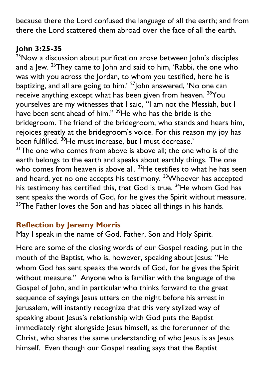because there the Lord confused the language of all the earth; and from there the Lord scattered them abroad over the face of all the earth.

# **John 3:25-35**

<sup>25</sup>Now a discussion about purification arose between John's disciples and a Jew. <sup>26</sup>They came to John and said to him, 'Rabbi, the one who was with you across the Jordan, to whom you testified, here he is baptizing, and all are going to him.' <sup>27</sup>John answered, 'No one can receive anything except what has been given from heaven. <sup>28</sup>You yourselves are my witnesses that I said, "I am not the Messiah, but I have been sent ahead of him." <sup>29</sup>He who has the bride is the bridegroom. The friend of the bridegroom, who stands and hears him, rejoices greatly at the bridegroom's voice. For this reason my joy has been fulfilled. <sup>30</sup>He must increase, but I must decrease.'

<sup>31</sup>The one who comes from above is above all; the one who is of the earth belongs to the earth and speaks about earthly things. The one who comes from heaven is above all. <sup>32</sup>He testifies to what he has seen and heard, yet no one accepts his testimony. <sup>33</sup>Whoever has accepted his testimony has certified this, that God is true.<sup>34</sup>He whom God has sent speaks the words of God, for he gives the Spirit without measure.  $35$ The Father loves the Son and has placed all things in his hands.

# **Reflection by Jeremy Morris**

May I speak in the name of God, Father, Son and Holy Spirit.

Here are some of the closing words of our Gospel reading, put in the mouth of the Baptist, who is, however, speaking about Jesus: "He whom God has sent speaks the words of God, for he gives the Spirit without measure." Anyone who is familiar with the language of the Gospel of John, and in particular who thinks forward to the great sequence of sayings Jesus utters on the night before his arrest in Jerusalem, will instantly recognize that this very stylized way of speaking about Jesus's relationship with God puts the Baptist immediately right alongside Jesus himself, as the forerunner of the Christ, who shares the same understanding of who Jesus is as Jesus himself. Even though our Gospel reading says that the Baptist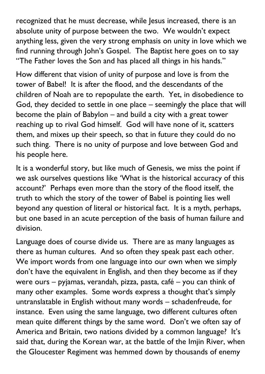recognized that he must decrease, while Jesus increased, there is an absolute unity of purpose between the two. We wouldn't expect anything less, given the very strong emphasis on unity in love which we find running through John's Gospel. The Baptist here goes on to say "The Father loves the Son and has placed all things in his hands."

How different that vision of unity of purpose and love is from the tower of Babel! It is after the flood, and the descendants of the children of Noah are to repopulate the earth. Yet, in disobedience to God, they decided to settle in one place – seemingly the place that will become the plain of Babylon – and build a city with a great tower reaching up to rival God himself. God will have none of it, scatters them, and mixes up their speech, so that in future they could do no such thing. There is no unity of purpose and love between God and his people here.

It is a wonderful story, but like much of Genesis, we miss the point if we ask ourselves questions like 'What is the historical accuracy of this account?' Perhaps even more than the story of the flood itself, the truth to which the story of the tower of Babel is pointing lies well beyond any question of literal or historical fact. It is a myth, perhaps, but one based in an acute perception of the basis of human failure and division.

Language does of course divide us. There are as many languages as there as human cultures. And so often they speak past each other. We import words from one language into our own when we simply don't have the equivalent in English, and then they become as if they were ours – pyjamas, verandah, pizza, pasta, café – you can think of many other examples. Some words express a thought that's simply untranslatable in English without many words – schadenfreude, for instance. Even using the same language, two different cultures often mean quite different things by the same word. Don't we often say of America and Britain, two nations divided by a common language? It's said that, during the Korean war, at the battle of the Imjin River, when the Gloucester Regiment was hemmed down by thousands of enemy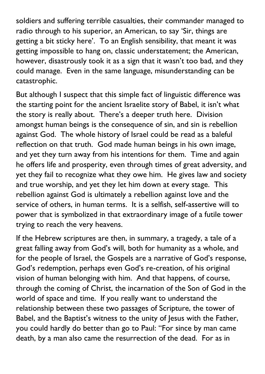soldiers and suffering terrible casualties, their commander managed to radio through to his superior, an American, to say 'Sir, things are getting a bit sticky here'. To an English sensibility, that meant it was getting impossible to hang on, classic understatement; the American, however, disastrously took it as a sign that it wasn't too bad, and they could manage. Even in the same language, misunderstanding can be catastrophic.

But although I suspect that this simple fact of linguistic difference was the starting point for the ancient Israelite story of Babel, it isn't what the story is really about. There's a deeper truth here. Division amongst human beings is the consequence of sin, and sin is rebellion against God. The whole history of Israel could be read as a baleful reflection on that truth. God made human beings in his own image, and yet they turn away from his intentions for them. Time and again he offers life and prosperity, even through times of great adversity, and yet they fail to recognize what they owe him. He gives law and society and true worship, and yet they let him down at every stage. This rebellion against God is ultimately a rebellion against love and the service of others, in human terms. It is a selfish, self-assertive will to power that is symbolized in that extraordinary image of a futile tower trying to reach the very heavens.

If the Hebrew scriptures are then, in summary, a tragedy, a tale of a great falling away from God's will, both for humanity as a whole, and for the people of Israel, the Gospels are a narrative of God's response, God's redemption, perhaps even God's re-creation, of his original vision of human belonging with him. And that happens, of course, through the coming of Christ, the incarnation of the Son of God in the world of space and time. If you really want to understand the relationship between these two passages of Scripture, the tower of Babel, and the Baptist's witness to the unity of Jesus with the Father, you could hardly do better than go to Paul: "For since by man came death, by a man also came the resurrection of the dead. For as in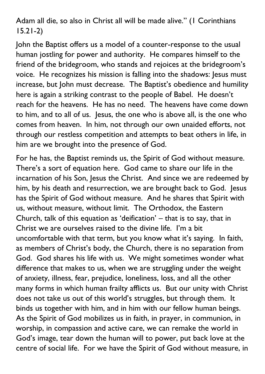Adam all die, so also in Christ all will be made alive." (1 Corinthians 15.21-2)

John the Baptist offers us a model of a counter-response to the usual human jostling for power and authority. He compares himself to the friend of the bridegroom, who stands and rejoices at the bridegroom's voice. He recognizes his mission is falling into the shadows: Jesus must increase, but John must decrease. The Baptist's obedience and humility here is again a striking contrast to the people of Babel. He doesn't reach for the heavens. He has no need. The heavens have come down to him, and to all of us. Jesus, the one who is above all, is the one who comes from heaven. In him, not through our own unaided efforts, not through our restless competition and attempts to beat others in life, in him are we brought into the presence of God.

For he has, the Baptist reminds us, the Spirit of God without measure. There's a sort of equation here. God came to share our life in the incarnation of his Son, Jesus the Christ. And since we are redeemed by him, by his death and resurrection, we are brought back to God. Jesus has the Spirit of God without measure. And he shares that Spirit with us, without measure, without limit. The Orthodox, the Eastern Church, talk of this equation as 'deification' – that is to say, that in Christ we are ourselves raised to the divine life. I'm a bit uncomfortable with that term, but you know what it's saying. In faith, as members of Christ's body, the Church, there is no separation from God. God shares his life with us. We might sometimes wonder what difference that makes to us, when we are struggling under the weight of anxiety, illness, fear, prejudice, loneliness, loss, and all the other many forms in which human frailty afflicts us. But our unity with Christ does not take us out of this world's struggles, but through them. It binds us together with him, and in him with our fellow human beings. As the Spirit of God mobilizes us in faith, in prayer, in communion, in worship, in compassion and active care, we can remake the world in God's image, tear down the human will to power, put back love at the centre of social life. For we have the Spirit of God without measure, in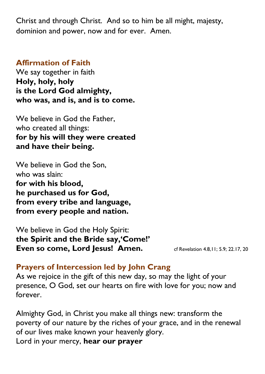Christ and through Christ. And so to him be all might, majesty, dominion and power, now and for ever. Amen.

#### **Affirmation of Faith**

We say together in faith **Holy, holy, holy is the Lord God almighty, who was, and is, and is to come.**

We believe in God the Father, who created all things: **for by his will they were created and have their being.**

We believe in God the Son, who was slain: **for with his blood, he purchased us for God, from every tribe and language, from every people and nation.**

We believe in God the Holy Spirit: **the Spirit and the Bride say,'Come!' Even so come, Lord Jesus! Amen.** Cf Revelation 4.8,11; 5.9; 22.17, 20

## **Prayers of Intercession led by John Crang**

As we rejoice in the gift of this new day, so may the light of your presence, O God, set our hearts on fire with love for you; now and forever.

Almighty God, in Christ you make all things new: transform the poverty of our nature by the riches of your grace, and in the renewal of our lives make known your heavenly glory. Lord in your mercy, **hear our prayer**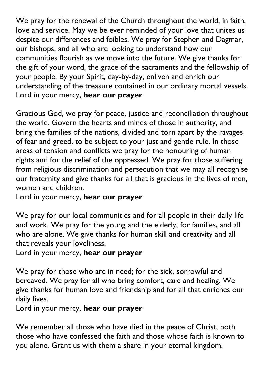We pray for the renewal of the Church throughout the world, in faith, love and service. May we be ever reminded of your love that unites us despite our differences and foibles. We pray for Stephen and Dagmar, our bishops, and all who are looking to understand how our communities flourish as we move into the future. We give thanks for the gift of your word, the grace of the sacraments and the fellowship of your people. By your Spirit, day-by-day, enliven and enrich our understanding of the treasure contained in our ordinary mortal vessels. Lord in your mercy, **hear our prayer**

Gracious God, we pray for peace, justice and reconciliation throughout the world. Govern the hearts and minds of those in authority, and bring the families of the nations, divided and torn apart by the ravages of fear and greed, to be subject to your just and gentle rule. In those areas of tension and conflicts we pray for the honouring of human rights and for the relief of the oppressed. We pray for those suffering from religious discrimination and persecution that we may all recognise our fraternity and give thanks for all that is gracious in the lives of men, women and children.

Lord in your mercy, **hear our prayer**

We pray for our local communities and for all people in their daily life and work. We pray for the young and the elderly, for families, and all who are alone. We give thanks for human skill and creativity and all that reveals your loveliness.

Lord in your mercy, **hear our prayer**

We pray for those who are in need; for the sick, sorrowful and bereaved. We pray for all who bring comfort, care and healing. We give thanks for human love and friendship and for all that enriches our daily lives.

Lord in your mercy, **hear our prayer**

We remember all those who have died in the peace of Christ, both those who have confessed the faith and those whose faith is known to you alone. Grant us with them a share in your eternal kingdom.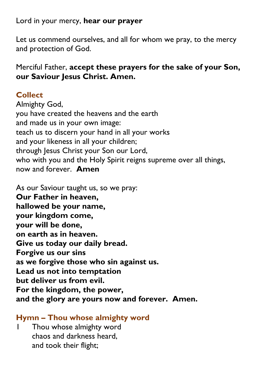### Lord in your mercy, **hear our prayer**

Let us commend ourselves, and all for whom we pray, to the mercy and protection of God.

### Merciful Father, **accept these prayers for the sake of your Son, our Saviour Jesus Christ. Amen.**

## **Collect**

Almighty God, you have created the heavens and the earth and made us in your own image: teach us to discern your hand in all your works and your likeness in all your children; through Jesus Christ your Son our Lord, who with you and the Holy Spirit reigns supreme over all things, now and forever. **Amen**

As our Saviour taught us, so we pray: **Our Father in heaven, hallowed be your name, your kingdom come, your will be done, on earth as in heaven. Give us today our daily bread. Forgive us our sins as we forgive those who sin against us. Lead us not into temptation but deliver us from evil. For the kingdom, the power, and the glory are yours now and forever. Amen.**

### **Hymn – Thou whose almighty word**

Thou whose almighty word chaos and darkness heard, and took their flight;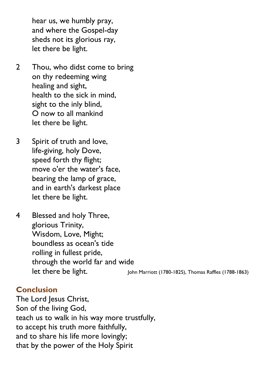hear us, we humbly pray, and where the Gospel-day sheds not its glorious ray, let there be light.

- 2 Thou, who didst come to bring on thy redeeming wing healing and sight, health to the sick in mind, sight to the inly blind, O now to all mankind let there be light.
- 3 Spirit of truth and love, life-giving, holy Dove, speed forth thy flight; move o'er the water's face, bearing the lamp of grace, and in earth's darkest place let there be light.
- 4 Blessed and holy Three, glorious Trinity, Wisdom, Love, Might; boundless as ocean's tide rolling in fullest pride, through the world far and wide let there be light. John Marriott (1780-1825), Thomas Raffles (1788-1863)

#### **Conclusion**

The Lord Jesus Christ, Son of the living God, teach us to walk in his way more trustfully, to accept his truth more faithfully, and to share his life more lovingly; that by the power of the Holy Spirit